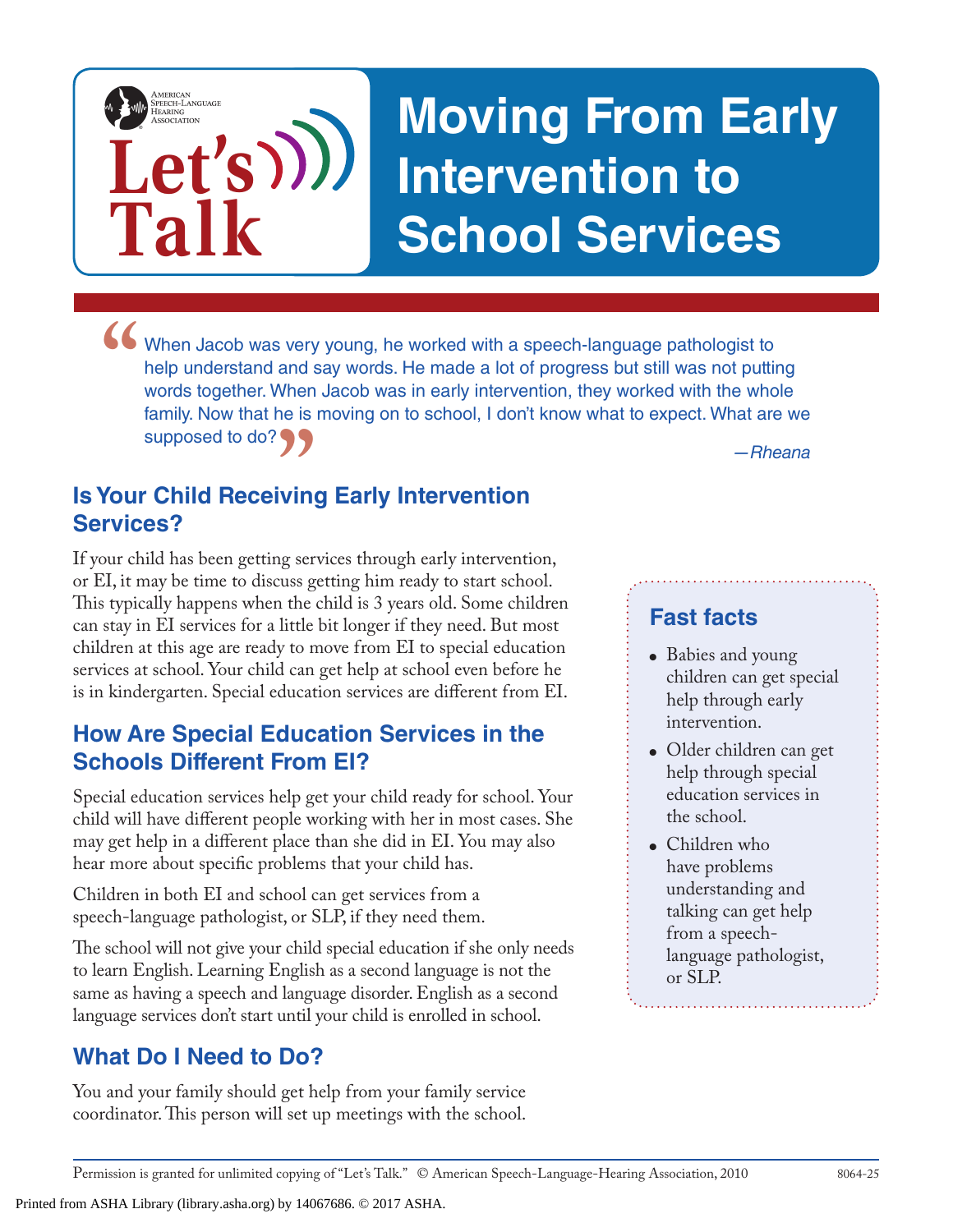## **Moving From Early Intervention to School Services**

• When Jacob was very young, he worked with a speech-language pathologist to help understand and say words. He made a lot of progress but still was not puttine words together. When Jacob was in early intervention, they wor help understand and say words. He made a lot of progress but still was not putting words together. When Jacob was in early intervention, they worked with the whole family. Now that he is moving on to school, I don't know what to expect. What are we supposed to do?

### **"** *—Rheana* **Is Your Child Receiving Early Intervention Services?**

**Let's**

**Talk**

AMERICAN<br>SPEECH-LANGUAGE-<br>HEARING<br>ASSOCIATION

If your child has been getting services through early intervention, or EI, it may be time to discuss getting him ready to start school. This typically happens when the child is 3 years old. Some children can stay in EI services for a little bit longer if they need. But most children at this age are ready to move from EI to special education services at school. Your child can get help at school even before he is in kindergarten. Special education services are different from EI.

#### **How Are Special Education Services in the Schools Different From EI?**

Special education services help get your child ready for school. Your child will have different people working with her in most cases. She may get help in a different place than she did in EI. You may also hear more about specific problems that your child has.

Children in both EI and school can get services from a speech-language pathologist, or SLP, if they need them.

The school will not give your child special education if she only needs to learn English. Learning English as a second language is not the same as having a speech and language disorder. English as a second language services don't start until your child is enrolled in school.

#### **What Do I Need to Do?**

You and your family should get help from your family service coordinator. This person will set up meetings with the school.

#### **Fast facts**

- Babies and young children can get special help through early intervention.
- Older children can get help through special education services in the school.
- Children who have problems understanding and talking can get help from a speechlanguage pathologist, or SLP.

Printed from ASHA Library (library.asha.org) by 14067686. © 2017 ASHA.